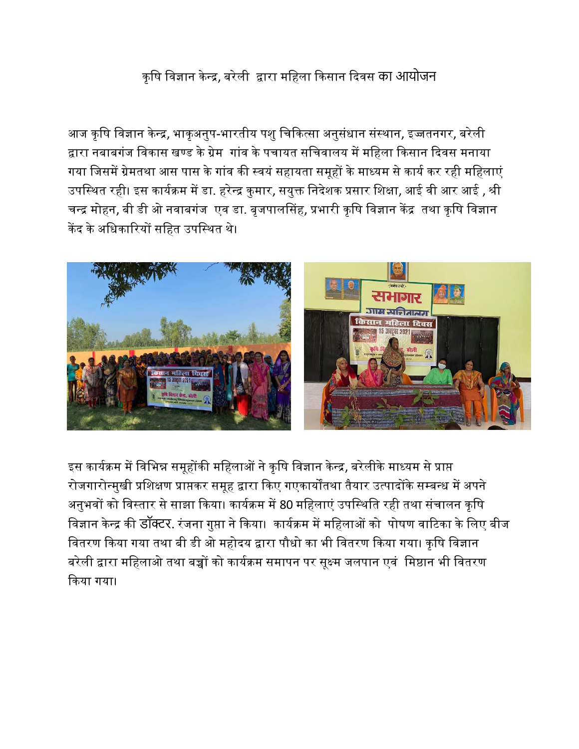## कृषि विज्ञान केन्द्र, बरेली द्वारा महिला किसान दिवस का आयोजन

आज कृषि विज्ञान केन्द्र, भाकृअनुप-भारतीय पशु चिकित्सा अनुसंधान संस्थान, इज्जतनगर, बरेली द्वारा नबाबगंज विकास खण्ड के ग्रेम गांव के पचायत सचिवालय में महिला किसान दिवस मनाया गया जिसमें ग्रेमतथा आस पास के गांव की स्वयं सहायता समूहों के माध्यम से कार्य कर रही महिलाएं उपस्थित रही। इस कार्यक्रम में डा. हरेन्द्र कुमार, सयुक्त निदेशक प्रसार शिक्षा, आई वी आर आई , श्री चन्द्र मोहन, बी डी ओ नवाबगंज एव डा. बृजपालसिंह, प्रभारी कृषि विज्ञान केंद्र तथा कृषि विज्ञान केंद के अषधकाररयों सषित उपषस्थत थे।



इस कार्यक्रम में विभिन्न समूहोंकी महिलाओं ने कृषि विज्ञान केन्द्र, बरेलीके माध्यम से प्राप्त रोजगारोन्मुखी प्रशिक्षण प्राप्तकर समूह द्वारा किए गएकार्योंतथा तैयार उत्पादोंके सम्बन्ध में अपने अनुभवों को विस्तार से साझा किया। कार्यक्रम में 80 महिलाएं उपस्थिति रही तथा संचालन कृषि विज्ञान केन्द्र की डॉक्टर. रंजना गुप्ता ने किया। कार्यक्रम में महिलाओं को पोषण वाटिका के लिए बीज वितरण किया गया तथा बी डी ओ महोदय द्वारा पौधो का भी वितरण किया गया। कृषि विज्ञान बरेली द्वारा महिलाओ तथा बच्चों को कार्यक्रम समापन पर सूक्ष्म जलपान एवं मिष्ठान भी वितरण ककया गया।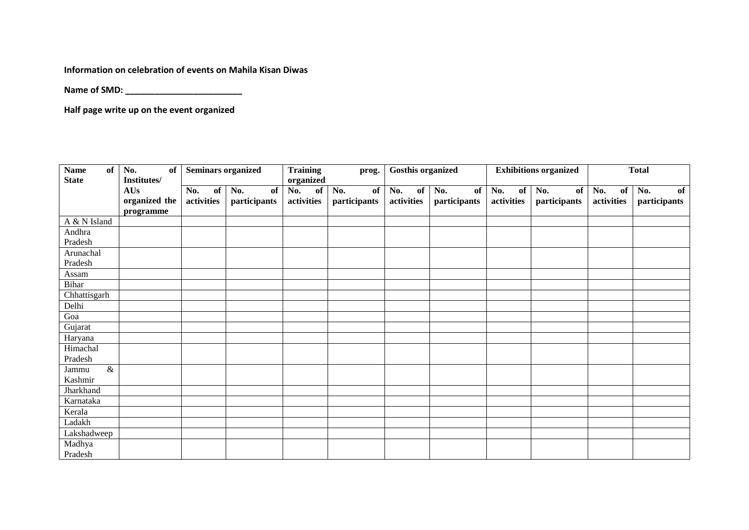**Information on celebration of events on Mahila Kisan Diwas**

**Name of SMD: \_\_\_\_\_\_\_\_\_\_\_\_\_\_\_\_\_\_\_\_\_\_\_\_**

**Half page write up on the event organized** 

| <b>Name</b><br><b>of</b><br><b>State</b>     | No.<br><b>Seminars organized</b><br>of<br>Institutes/ |                         | <b>Training</b><br>prog.<br>organized |                         | <b>Gosthis organized</b>  |                         | <b>Exhibitions organized</b> |                         | <b>Total</b>              |                         |                           |
|----------------------------------------------|-------------------------------------------------------|-------------------------|---------------------------------------|-------------------------|---------------------------|-------------------------|------------------------------|-------------------------|---------------------------|-------------------------|---------------------------|
|                                              | AUs<br>organized the<br>programme                     | No.<br>of<br>activities | No.<br>of<br>participants             | No.<br>of<br>activities | No.<br>of<br>participants | No.<br>of<br>activities | No.<br>of<br>participants    | No.<br>of<br>activities | No.<br>of<br>participants | No.<br>of<br>activities | No.<br>of<br>participants |
| A & N Island                                 |                                                       |                         |                                       |                         |                           |                         |                              |                         |                           |                         |                           |
| Andhra<br>Pradesh                            |                                                       |                         |                                       |                         |                           |                         |                              |                         |                           |                         |                           |
| Arunachal                                    |                                                       |                         |                                       |                         |                           |                         |                              |                         |                           |                         |                           |
| Pradesh                                      |                                                       |                         |                                       |                         |                           |                         |                              |                         |                           |                         |                           |
| Assam                                        |                                                       |                         |                                       |                         |                           |                         |                              |                         |                           |                         |                           |
| <b>Bihar</b>                                 |                                                       |                         |                                       |                         |                           |                         |                              |                         |                           |                         |                           |
| Chhattisgarh                                 |                                                       |                         |                                       |                         |                           |                         |                              |                         |                           |                         |                           |
| Delhi                                        |                                                       |                         |                                       |                         |                           |                         |                              |                         |                           |                         |                           |
| Goa                                          |                                                       |                         |                                       |                         |                           |                         |                              |                         |                           |                         |                           |
| Gujarat                                      |                                                       |                         |                                       |                         |                           |                         |                              |                         |                           |                         |                           |
| Haryana                                      |                                                       |                         |                                       |                         |                           |                         |                              |                         |                           |                         |                           |
| Himachal<br>Pradesh                          |                                                       |                         |                                       |                         |                           |                         |                              |                         |                           |                         |                           |
| $\overline{\mathcal{X}}$<br>Jammu<br>Kashmir |                                                       |                         |                                       |                         |                           |                         |                              |                         |                           |                         |                           |
| Jharkhand                                    |                                                       |                         |                                       |                         |                           |                         |                              |                         |                           |                         |                           |
| Karnataka                                    |                                                       |                         |                                       |                         |                           |                         |                              |                         |                           |                         |                           |
| Kerala                                       |                                                       |                         |                                       |                         |                           |                         |                              |                         |                           |                         |                           |
| Ladakh                                       |                                                       |                         |                                       |                         |                           |                         |                              |                         |                           |                         |                           |
| Lakshadweep                                  |                                                       |                         |                                       |                         |                           |                         |                              |                         |                           |                         |                           |
| Madhya<br>Pradesh                            |                                                       |                         |                                       |                         |                           |                         |                              |                         |                           |                         |                           |